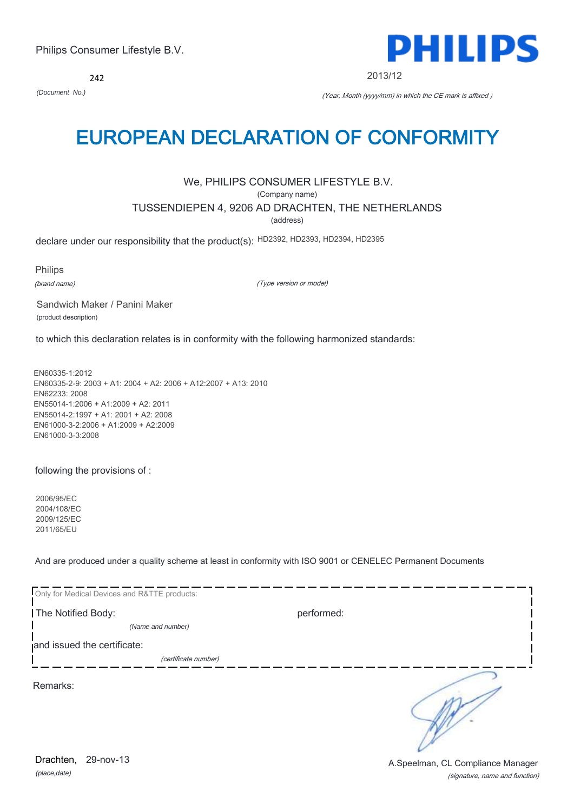242



2013/12

*(Document No.)* (Year, Month (yyyy/mm) in which the CE mark is affixed )

## EUROPEAN DECLARATION OF CONFORMITY

## We, PHILIPS CONSUMER LIFESTYLE B.V.

(Company name)

TUSSENDIEPEN 4, 9206 AD DRACHTEN, THE NETHERLANDS

(address)

declare under our responsibility that the product(s): HD2392, HD2393, HD2394, HD2395

Philips

(brand name)

(Type version or model)

Sandwich Maker / Panini Maker (product description)

to which this declaration relates is in conformity with the following harmonized standards:

EN60335-1:2012 EN60335-2-9: 2003 + A1: 2004 + A2: 2006 + A12:2007 + A13: 2010 EN62233: 2008 EN55014-1:2006 + A1:2009 + A2: 2011 EN55014-2:1997 + A1: 2001 + A2: 2008 EN61000-3-2:2006 + A1:2009 + A2:2009 EN61000-3-3:2008

following the provisions of :

2006/95/EC 2004/108/EC 2009/125/EC 2011/65/EU

And are produced under a quality scheme at least in conformity with ISO 9001 or CENELEC Permanent Documents

| Only for Medical Devices and R&TTE products: |            |  |
|----------------------------------------------|------------|--|
| The Notified Body:                           | performed: |  |
| (Name and number)                            |            |  |
| and issued the certificate:                  |            |  |
| (certificate number)                         |            |  |
| Remarks:                                     |            |  |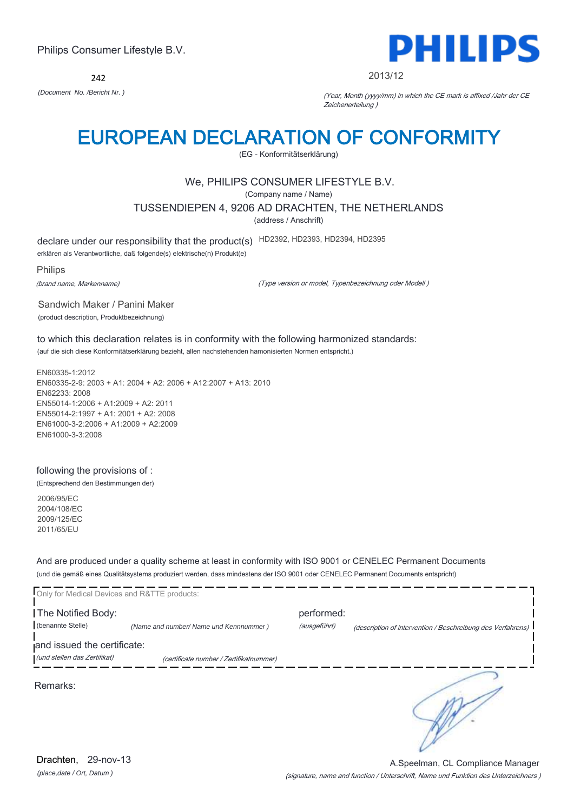242



#### 2013/12

*(Document No. /Bericht Nr. )* (Year, Month (yyyy/mm) in which the CE mark is affixed /Jahr der CE Zeichenerteilung )

## EUROPEAN DECLARATION OF CONFORMITY

(EG - Konformitätserklärung)

### We, PHILIPS CONSUMER LIFESTYLE B.V.

(Company name / Name)

TUSSENDIEPEN 4, 9206 AD DRACHTEN, THE NETHERLANDS

(address / Anschrift)

declare under our responsibility that the product(s) HD2392, HD2393, HD2394, HD2395

erklären als Verantwortliche, daß folgende(s) elektrische(n) Produkt(e)

Philips

(brand name, Markenname)

(Type version or model, Typenbezeichnung oder Modell )

Sandwich Maker / Panini Maker (product description, Produktbezeichnung)

to which this declaration relates is in conformity with the following harmonized standards: (auf die sich diese Konformitätserklärung bezieht, allen nachstehenden hamonisierten Normen entspricht.)

EN60335-1:2012 EN60335-2-9: 2003 + A1: 2004 + A2: 2006 + A12:2007 + A13: 2010 EN62233: 2008 EN55014-1:2006 + A1:2009 + A2: 2011 EN55014-2:1997 + A1: 2001 + A2: 2008 EN61000-3-2:2006 + A1:2009 + A2:2009 EN61000-3-3:2008

## following the provisions of :

(Entsprechend den Bestimmungen der)

2006/95/EC 2004/108/EC 2009/125/EC 2011/65/EU

And are produced under a quality scheme at least in conformity with ISO 9001 or CENELEC Permanent Documents (und die gemäß eines Qualitätsystems produziert werden, dass mindestens der ISO 9001 oder CENELEC Permanent Documents entspricht)

| Only for Medical Devices and R&TTE products: |                                         |                            |                                                             |
|----------------------------------------------|-----------------------------------------|----------------------------|-------------------------------------------------------------|
| The Notified Body:<br>(benannte Stelle)      | (Name and number/ Name und Kennnummer)  | performed:<br>(ausgeführt) | (description of intervention / Beschreibung des Verfahrens) |
| and issued the certificate:                  |                                         |                            |                                                             |
| (und stellen das Zertifikat)                 | (certificate number / Zertifikatnummer) |                            |                                                             |
| Remarks:                                     |                                         |                            |                                                             |

*(place,date / Ort, Datum )* Drachten, 29-nov-13

(signature, name and function / Unterschrift, Name und Funktion des Unterzeichners ) A.Speelman, CL Compliance Manager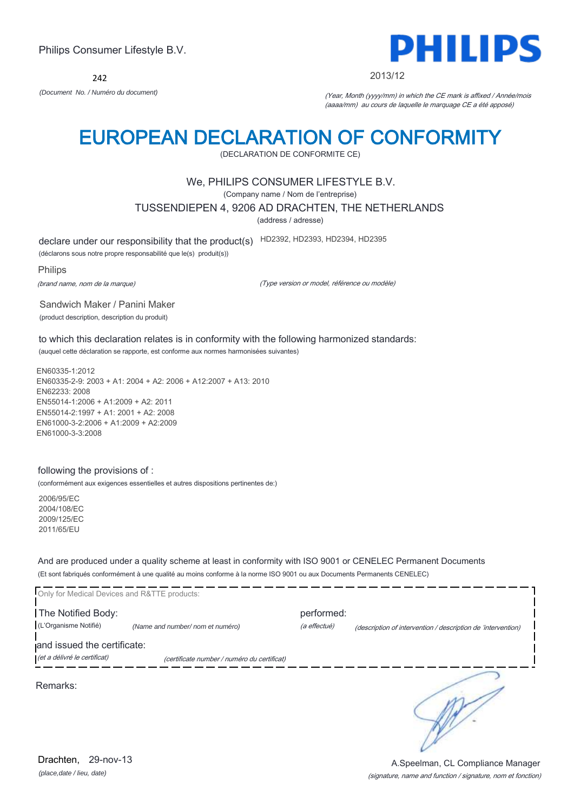242



2013/12

*(Document No. / Numéro du document)* (Year, Month (yyyy/mm) in which the CE mark is affixed / Année/mois (aaaa/mm) au cours de laquelle le marquage CE a été apposé)

## EUROPEAN DECLARATION OF CONFORMITY

(DECLARATION DE CONFORMITE CE)

### We, PHILIPS CONSUMER LIFESTYLE B.V.

(Company name / Nom de l'entreprise)

TUSSENDIEPEN 4, 9206 AD DRACHTEN, THE NETHERLANDS

(address / adresse)

declare under our responsibility that the product(s) HD2392, HD2393, HD2394, HD2395

(déclarons sous notre propre responsabilité que le(s) produit(s))

Philips

(brand name, nom de la marque)

(Type version or model, référence ou modèle)

Sandwich Maker / Panini Maker (product description, description du produit)

to which this declaration relates is in conformity with the following harmonized standards: (auquel cette déclaration se rapporte, est conforme aux normes harmonisées suivantes)

EN60335-1:2012 EN60335-2-9: 2003 + A1: 2004 + A2: 2006 + A12:2007 + A13: 2010 EN62233: 2008 EN55014-1:2006 + A1:2009 + A2: 2011 EN55014-2:1997 + A1: 2001 + A2: 2008 EN61000-3-2:2006 + A1:2009 + A2:2009 EN61000-3-3:2008

### following the provisions of :

(conformément aux exigences essentielles et autres dispositions pertinentes de:)

2006/95/EC 2004/108/EC 2009/125/EC 2011/65/EU

And are produced under a quality scheme at least in conformity with ISO 9001 or CENELEC Permanent Documents (Et sont fabriqués conformément à une qualité au moins conforme à la norme ISO 9001 ou aux Documents Permanents CENELEC)

| Only for Medical Devices and R&TTE products:                |                                             |                            |                                                              |
|-------------------------------------------------------------|---------------------------------------------|----------------------------|--------------------------------------------------------------|
| The Notified Body:<br>(L'Organisme Notifié)                 | (Name and number/ nom et numéro)            | performed:<br>(a effectué) | (description of intervention / description de 'intervention) |
| and issued the certificate:<br>(et a délivré le certificat) | (certificate number / numéro du certificat) |                            |                                                              |
| Remarks:                                                    |                                             |                            |                                                              |
|                                                             |                                             |                            |                                                              |

*(place,date / lieu, date)* Drachten. 29-nov-13

(signature, name and function / signature, nom et fonction) A.Speelman, CL Compliance Manager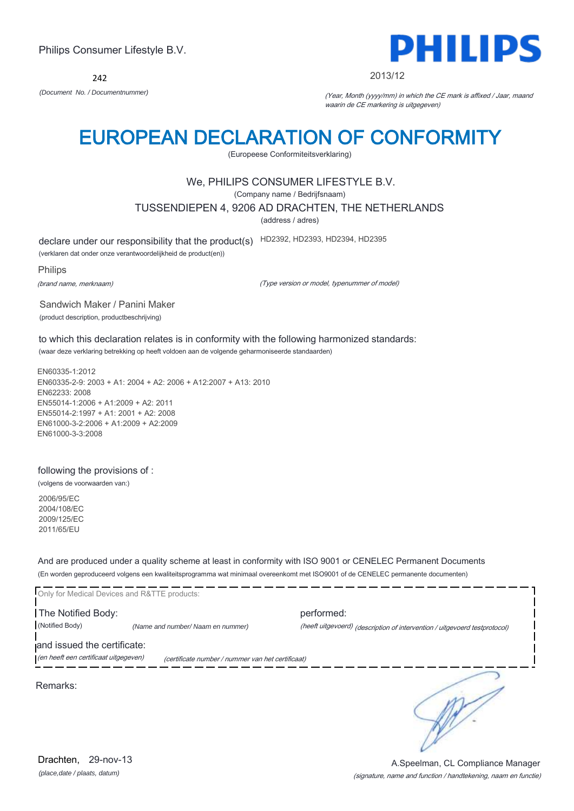242



#### 2013/12

*(Document No. / Documentnummer)* (Year, Month (yyyy/mm) in which the CE mark is affixed / Jaar, maand waarin de CE markering is uitgegeven)

## EUROPEAN DECLARATION OF CONFORMITY

(Europeese Conformiteitsverklaring)

### We, PHILIPS CONSUMER LIFESTYLE B.V.

(Company name / Bedrijfsnaam)

TUSSENDIEPEN 4, 9206 AD DRACHTEN, THE NETHERLANDS

(address / adres)

declare under our responsibility that the product(s) HD2392, HD2393, HD2394, HD2395

(verklaren dat onder onze verantwoordelijkheid de product(en))

Philips

(brand name, merknaam)

(Type version or model, typenummer of model)

Sandwich Maker / Panini Maker (product description, productbeschrijving)

to which this declaration relates is in conformity with the following harmonized standards: (waar deze verklaring betrekking op heeft voldoen aan de volgende geharmoniseerde standaarden)

EN60335-1:2012 EN60335-2-9: 2003 + A1: 2004 + A2: 2006 + A12:2007 + A13: 2010 EN62233: 2008 EN55014-1:2006 + A1:2009 + A2: 2011 EN55014-2:1997 + A1: 2001 + A2: 2008 EN61000-3-2:2006 + A1:2009 + A2:2009 EN61000-3-3:2008

### following the provisions of :

(volgens de voorwaarden van:)

2006/95/EC 2004/108/EC 2009/125/EC 2011/65/EU

And are produced under a quality scheme at least in conformity with ISO 9001 or CENELEC Permanent Documents (En worden geproduceerd volgens een kwaliteitsprogramma wat minimaal overeenkomt met ISO9001 of de CENELEC permanente documenten)

| Only for Medical Devices and R&TTE products:                         |                                                   |                                                                            |
|----------------------------------------------------------------------|---------------------------------------------------|----------------------------------------------------------------------------|
| The Notified Body:                                                   |                                                   | performed:                                                                 |
| (Notified Body)                                                      | (Name and number/ Naam en nummer)                 | (heeft uitgevoerd) (description of intervention / uitgevoerd testprotocol) |
| and issued the certificate:<br>(en heeft een certificaat uitgegeven) | (certificate number / nummer van het certificaat) |                                                                            |
| Remarks:                                                             |                                                   |                                                                            |

*(place,date / plaats, datum)* Drachten. 29-nov-13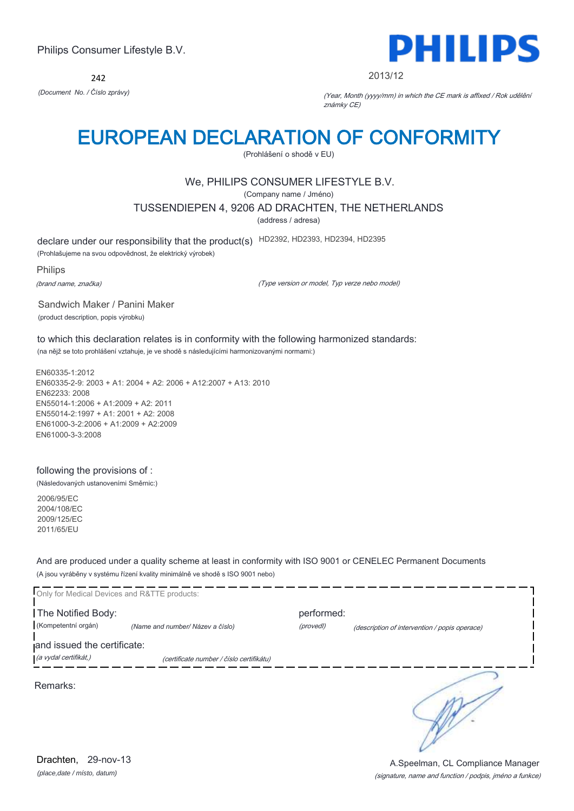242



#### 2013/12

*(Document No. / Číslo zprávy)* (Year, Month (yyyy/mm) in which the CE mark is affixed / Rok udělění známky CE)

## EUROPEAN DECLARATION OF CONFORMITY

(Prohlášení o shodě v EU)

## We, PHILIPS CONSUMER LIFESTYLE B.V.

(Company name / Jméno)

TUSSENDIEPEN 4, 9206 AD DRACHTEN, THE NETHERLANDS

(address / adresa)

declare under our responsibility that the product(s) HD2392, HD2393, HD2394, HD2395

(Prohlašujeme na svou odpovědnost, že elektrický výrobek)

Philips

(brand name, značka)

(Type version or model, Typ verze nebo model)

Sandwich Maker / Panini Maker (product description, popis výrobku)

to which this declaration relates is in conformity with the following harmonized standards: (na nějž se toto prohlášení vztahuje, je ve shodě s následujícími harmonizovanými normami:)

EN60335-1:2012 EN60335-2-9: 2003 + A1: 2004 + A2: 2006 + A12:2007 + A13: 2010 EN62233: 2008 EN55014-1:2006 + A1:2009 + A2: 2011 EN55014-2:1997 + A1: 2001 + A2: 2008 EN61000-3-2:2006 + A1:2009 + A2:2009 EN61000-3-3:2008

### following the provisions of :

(Následovaných ustanoveními Směrnic:)

2006/95/EC 2004/108/EC 2009/125/EC 2011/65/EU

And are produced under a quality scheme at least in conformity with ISO 9001 or CENELEC Permanent Documents (A jsou vyráběny v systému řízení kvality minimálně ve shodě s ISO 9001 nebo)

| Only for Medical Devices and R&TTE products:         |                                          |                         |                                               |
|------------------------------------------------------|------------------------------------------|-------------------------|-----------------------------------------------|
| The Notified Body:<br>(Kompetentní orgán)            | (Name and number/ Název a číslo)         | performed:<br>(provedl) | (description of intervention / popis operace) |
| and issued the certificate:<br>(a vydal certifikát,) | (certificate number / číslo certifikátu) |                         |                                               |
| Remarks:                                             |                                          |                         |                                               |
|                                                      |                                          |                         |                                               |

*(place,date / místo, datum)* Drachten, 29-nov-13

#### (signature, name and function / podpis, jméno a funkce) A.Speelman, CL Compliance Manager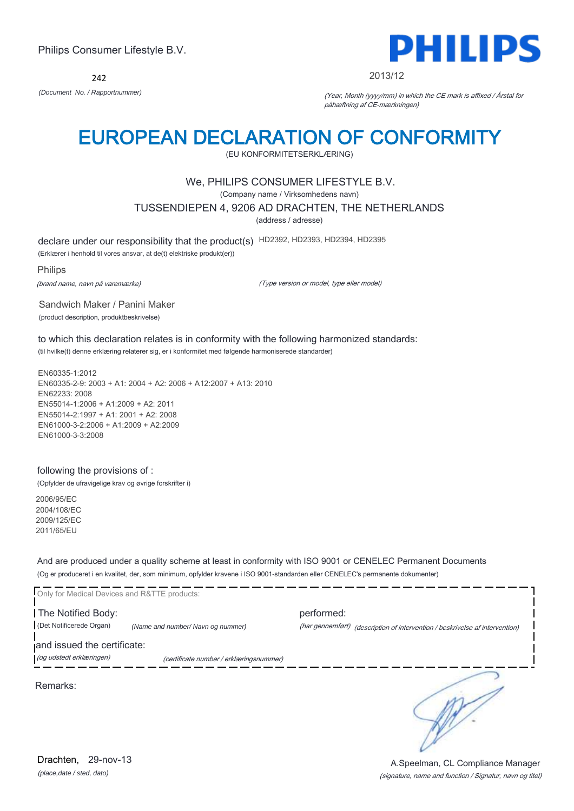242



#### 2013/12

*(Document No. / Rapportnummer)* (Year, Month (yyyy/mm) in which the CE mark is affixed / Årstal for påhæftning af CE-mærkningen)

## EUROPEAN DECLARATION OF CONFORMITY

(EU KONFORMITETSERKLÆRING)

### We, PHILIPS CONSUMER LIFESTYLE B.V.

(Company name / Virksomhedens navn)

TUSSENDIEPEN 4, 9206 AD DRACHTEN, THE NETHERLANDS

(address / adresse)

declare under our responsibility that the product(s) HD2392, HD2393, HD2394, HD2395

(Erklærer i henhold til vores ansvar, at de(t) elektriske produkt(er))

Philips

(brand name, navn på varemærke)

(Type version or model, type eller model)

Sandwich Maker / Panini Maker (product description, produktbeskrivelse)

to which this declaration relates is in conformity with the following harmonized standards: (til hvilke(t) denne erklæring relaterer sig, er i konformitet med følgende harmoniserede standarder)

EN60335-1:2012 EN60335-2-9: 2003 + A1: 2004 + A2: 2006 + A12:2007 + A13: 2010 EN62233: 2008 EN55014-1:2006 + A1:2009 + A2: 2011 EN55014-2:1997 + A1: 2001 + A2: 2008 EN61000-3-2:2006 + A1:2009 + A2:2009 EN61000-3-3:2008

### following the provisions of :

(Opfylder de ufravigelige krav og øvrige forskrifter i)

2006/95/EC 2004/108/EC 2009/125/EC 2011/65/EU

And are produced under a quality scheme at least in conformity with ISO 9001 or CENELEC Permanent Documents (Og er produceret i en kvalitet, der, som minimum, opfylder kravene i ISO 9001-standarden eller CENELEC's permanente dokumenter)

|                                  | performed: |                                                                              |
|----------------------------------|------------|------------------------------------------------------------------------------|
| (Name and number/Navn og nummer) |            | (har gennemført) (description of intervention / beskrivelse af intervention) |
| and issued the certificate:      |            |                                                                              |
|                                  |            |                                                                              |
|                                  |            | (certificate number / erklæringsnummer)                                      |

Remarks: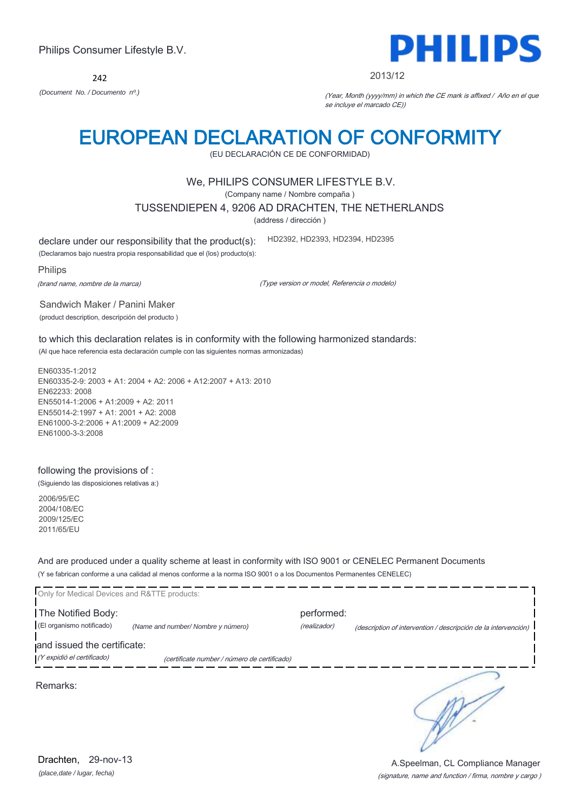242



#### 2013/12

*(Document No. / Documento nº.)* (Year, Month (yyyy/mm) in which the CE mark is affixed / Año en el que se incluye el marcado CE))

## EUROPEAN DECLARATION OF CONFORMITY

(EU DECLARACIÓN CE DE CONFORMIDAD)

### We, PHILIPS CONSUMER LIFESTYLE B.V.

(Company name / Nombre compaña )

TUSSENDIEPEN 4, 9206 AD DRACHTEN, THE NETHERLANDS

(address / dirección )

declare under our responsibility that the product(s): HD2392, HD2393, HD2394, HD2395

(Declaramos bajo nuestra propia responsabilidad que el (los) producto(s):

Philips

(brand name, nombre de la marca)

(Type version or model, Referencia o modelo)

Sandwich Maker / Panini Maker (product description, descripción del producto )

to which this declaration relates is in conformity with the following harmonized standards: (Al que hace referencia esta declaración cumple con las siguientes normas armonizadas)

EN60335-1:2012 EN60335-2-9: 2003 + A1: 2004 + A2: 2006 + A12:2007 + A13: 2010 EN62233: 2008 EN55014-1:2006 + A1:2009 + A2: 2011 EN55014-2:1997 + A1: 2001 + A2: 2008 EN61000-3-2:2006 + A1:2009 + A2:2009 EN61000-3-3:2008

### following the provisions of :

(Siguiendo las disposiciones relativas a:)

2006/95/EC 2004/108/EC 2009/125/EC 2011/65/EU

And are produced under a quality scheme at least in conformity with ISO 9001 or CENELEC Permanent Documents (Y se fabrican conforme a una calidad al menos conforme a la norma ISO 9001 o a los Documentos Permanentes CENELEC)

| Only for Medical Devices and R&TTE products: |                                              |              |                                                                |
|----------------------------------------------|----------------------------------------------|--------------|----------------------------------------------------------------|
| The Notified Body:                           |                                              | performed:   |                                                                |
| (El organismo notificado)                    | (Name and number/ Nombre y número)           | (realizador) | (description of intervention / descripción de la intervención) |
| and issued the certificate:                  |                                              |              |                                                                |
| (Y expidió el certificado)                   | (certificate number / número de certificado) |              |                                                                |
| Remarks:                                     |                                              |              |                                                                |

*(place,date / lugar, fecha)* Drachten, 29-nov-13

(signature, name and function / firma, nombre y cargo ) A.Speelman, CL Compliance Manager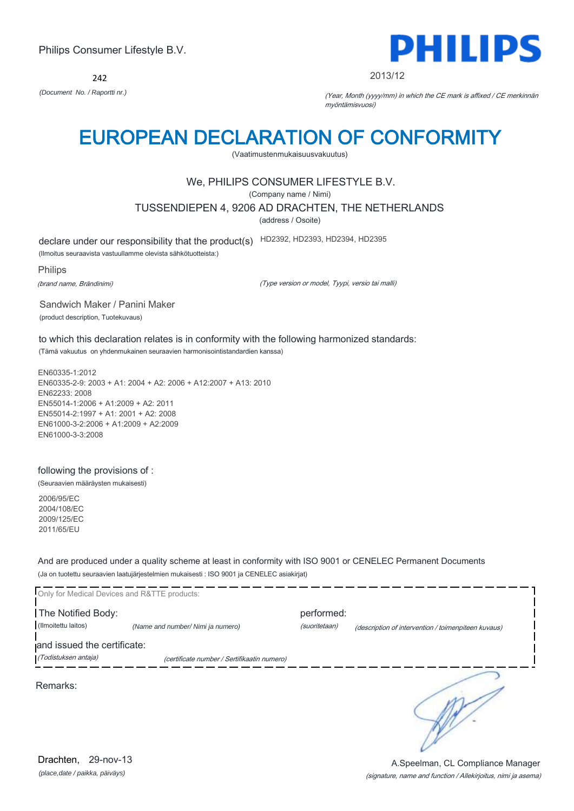242



2013/12

*(Document No. / Raportti nr.)* (Year, Month (yyyy/mm) in which the CE mark is affixed / CE merkinnän myöntämisvuosi)

## EUROPEAN DECLARATION OF CONFORMITY

(Vaatimustenmukaisuusvakuutus)

## We, PHILIPS CONSUMER LIFESTYLE B.V.

(Company name / Nimi)

TUSSENDIEPEN 4, 9206 AD DRACHTEN, THE NETHERLANDS

(address / Osoite)

declare under our responsibility that the product(s) HD2392, HD2393, HD2394, HD2395

(Ilmoitus seuraavista vastuullamme olevista sähkötuotteista:)

Philips

(brand name, Brändinimi)

(Type version or model, Tyypi, versio tai malli)

Sandwich Maker / Panini Maker (product description, Tuotekuvaus)

to which this declaration relates is in conformity with the following harmonized standards: (Tämä vakuutus on yhdenmukainen seuraavien harmonisointistandardien kanssa)

EN60335-1:2012 EN60335-2-9: 2003 + A1: 2004 + A2: 2006 + A12:2007 + A13: 2010 EN62233: 2008 EN55014-1:2006 + A1:2009 + A2: 2011 EN55014-2:1997 + A1: 2001 + A2: 2008 EN61000-3-2:2006 + A1:2009 + A2:2009 EN61000-3-3:2008

following the provisions of :

(Seuraavien määräysten mukaisesti)

2006/95/EC 2004/108/EC 2009/125/EC 2011/65/EU

And are produced under a quality scheme at least in conformity with ISO 9001 or CENELEC Permanent Documents (Ja on tuotettu seuraavien laatujärjestelmien mukaisesti : ISO 9001 ja CENELEC asiakirjat)

| Only for Medical Devices and R&TTE products:        |                                             |                             |                                                     |
|-----------------------------------------------------|---------------------------------------------|-----------------------------|-----------------------------------------------------|
| The Notified Body:<br>(Ilmoitettu laitos)           | (Name and number/ Nimi ja numero)           | performed:<br>(suoritetaan) | (description of intervention / toimenpiteen kuvaus) |
| and issued the certificate:<br>(Todistuksen antaja) | (certificate number / Sertifikaatin numero) |                             |                                                     |
| Remarks:                                            |                                             |                             |                                                     |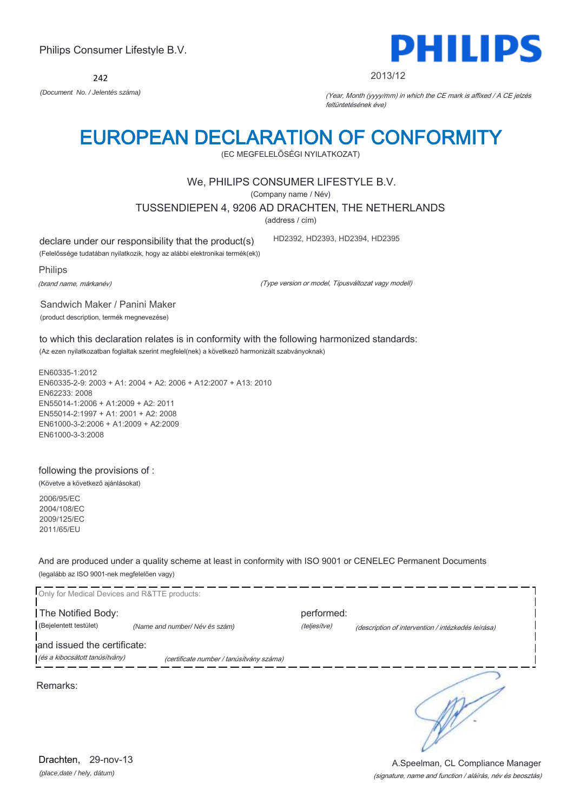242



2013/12

*(Document No. / Jelentés száma)* (Year, Month (yyyy/mm) in which the CE mark is affixed / A CE jelzés feltüntetésének éve)

## EUROPEAN DECLARATION OF CONFORMITY

(EC MEGFELELŐSÉGI NYILATKOZAT)

### We, PHILIPS CONSUMER LIFESTYLE B.V.

(Company name / Név)

TUSSENDIEPEN 4, 9206 AD DRACHTEN, THE NETHERLANDS

(address / cím)

declare under our responsibility that the product(s)

(Felelőssége tudatában nyilatkozik, hogy az alábbi elektronikai termék(ek))

Philips

(brand name, márkanév)

(Type version or model, Típusváltozat vagy modell)

HD2392, HD2393, HD2394, HD2395

Sandwich Maker / Panini Maker (product description, termék megnevezése)

to which this declaration relates is in conformity with the following harmonized standards: (Az ezen nyilatkozatban foglaltak szerint megfelel(nek) a következő harmonizált szabványoknak)

EN60335-1:2012 EN60335-2-9: 2003 + A1: 2004 + A2: 2006 + A12:2007 + A13: 2010 EN62233: 2008 EN55014-1:2006 + A1:2009 + A2: 2011 EN55014-2:1997 + A1: 2001 + A2: 2008 EN61000-3-2:2006 + A1:2009 + A2:2009 EN61000-3-3:2008

following the provisions of :

(Követve a következő ajánlásokat)

2006/95/EC 2004/108/EC 2009/125/EC 2011/65/EU

And are produced under a quality scheme at least in conformity with ISO 9001 or CENELEC Permanent Documents (legalább az ISO 9001-nek megfelelően vagy)



*(place,date / hely, dátum)* Drachten. 29-nov-13

(signature, name and function / aláírás, név és beosztás) A.Speelman, CL Compliance Manager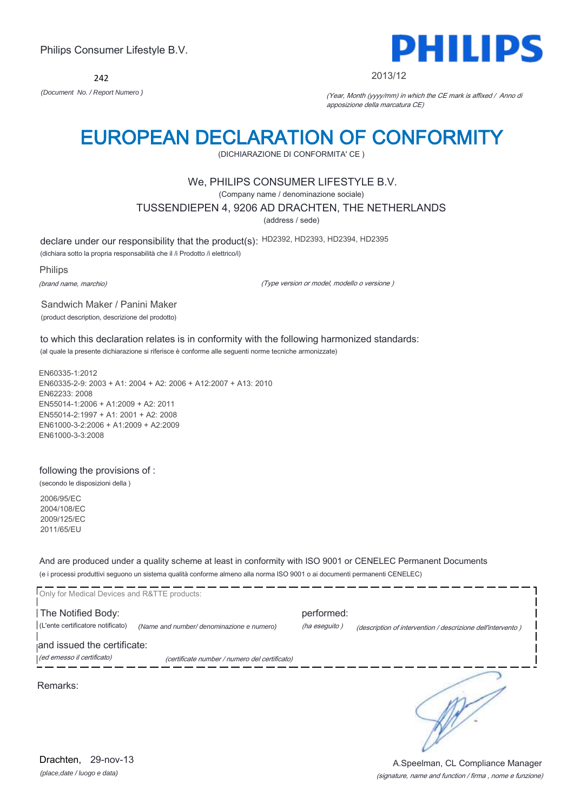242



#### 2013/12

*(Document No. / Report Numero )* (Year, Month (yyyy/mm) in which the CE mark is affixed / Anno di apposizione della marcatura CE)

## EUROPEAN DECLARATION OF CONFORMITY

(DICHIARAZIONE DI CONFORMITA' CE )

### We, PHILIPS CONSUMER LIFESTYLE B.V.

(Company name / denominazione sociale)

TUSSENDIEPEN 4, 9206 AD DRACHTEN, THE NETHERLANDS

(address / sede)

declare under our responsibility that the product(s): HD2392, HD2393, HD2394, HD2395

(dichiara sotto la propria responsabilità che il /i Prodotto /i elettrico/i)

Philips

(brand name, marchio)

(Type version or model, modello o versione )

Sandwich Maker / Panini Maker (product description, descrizione del prodotto)

to which this declaration relates is in conformity with the following harmonized standards: (al quale la presente dichiarazione si riferisce è conforme alle seguenti norme tecniche armonizzate)

EN60335-1:2012 EN60335-2-9: 2003 + A1: 2004 + A2: 2006 + A12:2007 + A13: 2010 EN62233: 2008 EN55014-1:2006 + A1:2009 + A2: 2011 EN55014-2:1997 + A1: 2001 + A2: 2008 EN61000-3-2:2006 + A1:2009 + A2:2009 EN61000-3-3:2008

#### following the provisions of :

(secondo le disposizioni della )

2006/95/EC 2004/108/EC 2009/125/EC 2011/65/EU

And are produced under a quality scheme at least in conformity with ISO 9001 or CENELEC Permanent Documents (e i processi produttivi seguono un sistema qualità conforme almeno alla norma ISO 9001 o ai documenti permanenti CENELEC)

| Only for Medical Devices and R&TTE products:              |                                               |                             |                                                             |
|-----------------------------------------------------------|-----------------------------------------------|-----------------------------|-------------------------------------------------------------|
| The Notified Body:<br>(L'ente certificatore notificato)   | (Name and number/ denominazione e numero)     | performed:<br>(ha eseguito) | (description of intervention / descrizione dell'intervento) |
| and issued the certificate:<br>(ed emesso il certificato) | (certificate number / numero del certificato) |                             |                                                             |
| Remarks:                                                  |                                               |                             |                                                             |

*(place,date / luogo e data)* Drachten, 29-nov-13

#### (signature, name and function / firma , nome e funzione) A.Speelman, CL Compliance Manager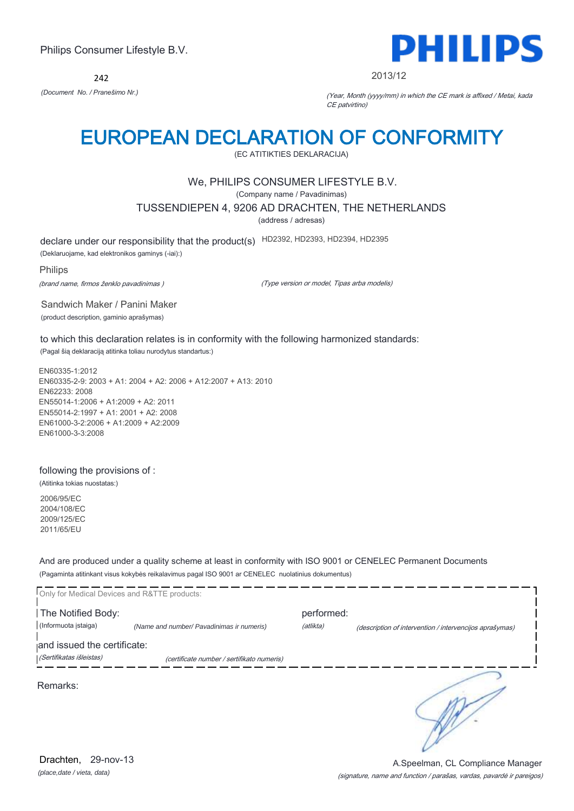242

# PHILIPS

2013/12

*(Document No. / Pranešimo Nr.)* (Year, Month (yyyy/mm) in which the CE mark is affixed / Metai, kada CE patvirtino)

## EUROPEAN DECLARATION OF CONFORMITY

(EC ATITIKTIES DEKLARACIJA)

## We, PHILIPS CONSUMER LIFESTYLE B.V.

(Company name / Pavadinimas)

TUSSENDIEPEN 4, 9206 AD DRACHTEN, THE NETHERLANDS

(address / adresas)

declare under our responsibility that the product(s) HD2392, HD2393, HD2394, HD2395

(Deklaruojame, kad elektronikos gaminys (-iai):)

Philips

(brand name, firmos ženklo pavadinimas )

(Type version or model, Tipas arba modelis)

Sandwich Maker / Panini Maker (product description, gaminio aprašymas)

to which this declaration relates is in conformity with the following harmonized standards:

(Pagal šią deklaraciją atitinka toliau nurodytus standartus:)

EN60335-1:2012 EN60335-2-9: 2003 + A1: 2004 + A2: 2006 + A12:2007 + A13: 2010 EN62233: 2008 EN55014-1:2006 + A1:2009 + A2: 2011 EN55014-2:1997 + A1: 2001 + A2: 2008 EN61000-3-2:2006 + A1:2009 + A2:2009 EN61000-3-3:2008

### following the provisions of :

(Atitinka tokias nuostatas:)

2006/95/EC 2004/108/EC 2009/125/EC 2011/65/EU

And are produced under a quality scheme at least in conformity with ISO 9001 or CENELEC Permanent Documents (Pagaminta atitinkant visus kokybės reikalavimus pagal ISO 9001 ar CENELEC nuolatinius dokumentus)

| Only for Medical Devices and R&TTE products: |                                            |            |                                                         |
|----------------------------------------------|--------------------------------------------|------------|---------------------------------------------------------|
| The Notified Body:                           |                                            | performed: |                                                         |
| (Informuota istaiga)                         | (Name and number/ Pavadinimas ir numeris)  | (atlikta)  | (description of intervention / intervencijos aprašymas) |
| and issued the certificate:                  |                                            |            |                                                         |
| (Sertifikatas išleistas)                     | (certificate number / sertifikato numeris) |            |                                                         |
| Remarks:                                     |                                            |            |                                                         |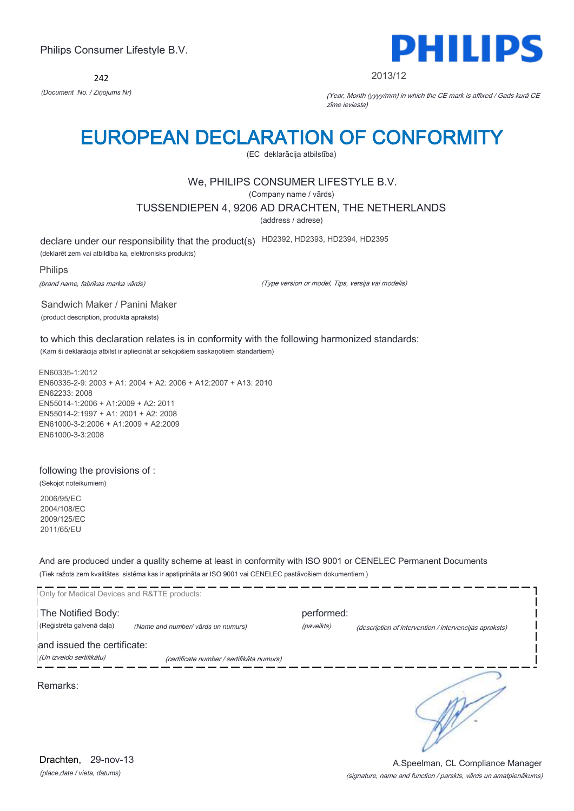242



#### 2013/12

*(Document No. / Ziņojums Nr)* (Year, Month (yyyy/mm) in which the CE mark is affixed / Gads kurā CE zīme ieviesta)

## EUROPEAN DECLARATION OF CONFORMITY

(EC deklarācija atbilstība)

## We, PHILIPS CONSUMER LIFESTYLE B.V.

(Company name / vārds)

TUSSENDIEPEN 4, 9206 AD DRACHTEN, THE NETHERLANDS

(address / adrese)

declare under our responsibility that the product(s) HD2392, HD2393, HD2394, HD2395

(deklarēt zem vai atbildība ka, elektronisks produkts)

Philips

(brand name, fabrikas marka vārds)

(Type version or model, Tips, versija vai modelis)

Sandwich Maker / Panini Maker (product description, produkta apraksts)

to which this declaration relates is in conformity with the following harmonized standards: (Kam ši deklarācija atbilst ir apliecināt ar sekojošiem saskaņotiem standartiem)

EN60335-1:2012 EN60335-2-9: 2003 + A1: 2004 + A2: 2006 + A12:2007 + A13: 2010 EN62233: 2008 EN55014-1:2006 + A1:2009 + A2: 2011 EN55014-2:1997 + A1: 2001 + A2: 2008 EN61000-3-2:2006 + A1:2009 + A2:2009 EN61000-3-3:2008

#### following the provisions of :

(Sekojot noteikumiem)

2006/95/EC 2004/108/EC 2009/125/EC 2011/65/EU

And are produced under a quality scheme at least in conformity with ISO 9001 or CENELEC Permanent Documents (Tiek ražots zem kvalitātes sistēma kas ir apstiprināta ar ISO 9001 vai CENELEC pastāvošiem dokumentiem )

| Only for Medical Devices and R&TTE products:            |                                           |                          |                                                        |
|---------------------------------------------------------|-------------------------------------------|--------------------------|--------------------------------------------------------|
| The Notified Body:<br>(Reģistrēta galvenā daļa)         | (Name and number/ vārds un numurs)        | performed:<br>(paveikts) | (description of intervention / intervencijas apraksts) |
| and issued the certificate:<br>(Un izveido sertifikātu) | (certificate number / sertifikāta numurs) |                          |                                                        |
| Remarks:                                                |                                           |                          |                                                        |
|                                                         |                                           |                          |                                                        |
|                                                         |                                           |                          |                                                        |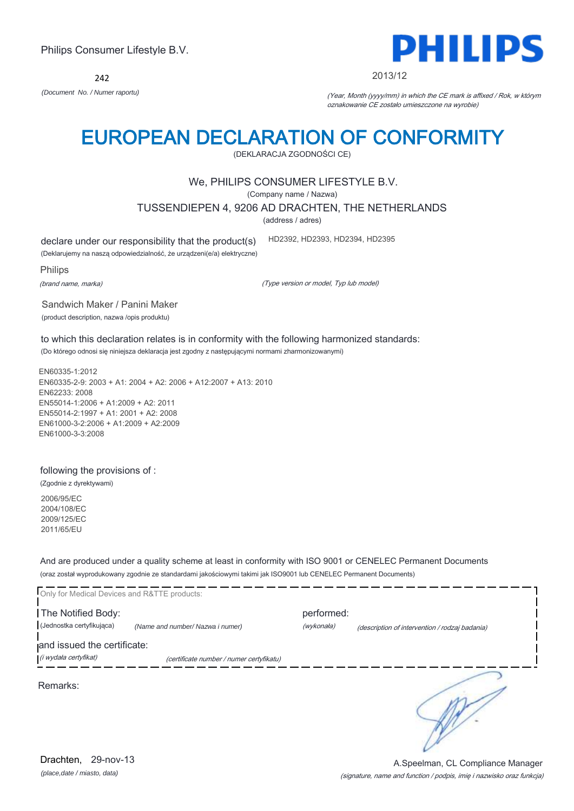242



#### 2013/12

*(Document No. / Numer raportu)* (Year, Month (yyyy/mm) in which the CE mark is affixed / Rok, w którym oznakowanie CE zostało umieszczone na wyrobie)

## EUROPEAN DECLARATION OF CONFORMITY

(DEKLARACJA ZGODNOŚCI CE)

### We, PHILIPS CONSUMER LIFESTYLE B.V.

(Company name / Nazwa)

TUSSENDIEPEN 4, 9206 AD DRACHTEN, THE NETHERLANDS

(address / adres)

declare under our responsibility that the product(s)

(Deklarujemy na naszą odpowiedzialność, że urządzeni(e/a) elektryczne)

Philips

(brand name, marka)

(Type version or model, Typ lub model)

HD2392, HD2393, HD2394, HD2395

Sandwich Maker / Panini Maker (product description, nazwa /opis produktu)

to which this declaration relates is in conformity with the following harmonized standards: (Do którego odnosi się niniejsza deklaracja jest zgodny z następującymi normami zharmonizowanymi)

EN60335-1:2012 EN60335-2-9: 2003 + A1: 2004 + A2: 2006 + A12:2007 + A13: 2010 EN62233: 2008 EN55014-1:2006 + A1:2009 + A2: 2011 EN55014-2:1997 + A1: 2001 + A2: 2008 EN61000-3-2:2006 + A1:2009 + A2:2009 EN61000-3-3:2008

#### following the provisions of :

(Zgodnie z dyrektywami)

2006/95/EC 2004/108/EC 2009/125/EC 2011/65/EU

And are produced under a quality scheme at least in conformity with ISO 9001 or CENELEC Permanent Documents (oraz został wyprodukowany zgodnie ze standardami jakościowymi takimi jak ISO9001 lub CENELEC Permanent Documents)

| Only for Medical Devices and R&TTE products: |                                          |            |                                                |
|----------------------------------------------|------------------------------------------|------------|------------------------------------------------|
| The Notified Body:                           |                                          | performed: |                                                |
| (Jednostka certyfikująca)                    | (Name and number/ Nazwa i numer)         | (wykonała) | (description of intervention / rodzaj badania) |
| and issued the certificate:                  |                                          |            |                                                |
| (i wydała certyfikat)                        | (certificate number / numer certyfikatu) |            |                                                |
| Remarks:                                     |                                          |            |                                                |

(signature, name and function / podpis, imię i nazwisko oraz funkcja) A.Speelman, CL Compliance Manager

*(place,date / miasto, data)* Drachten, 29-nov-13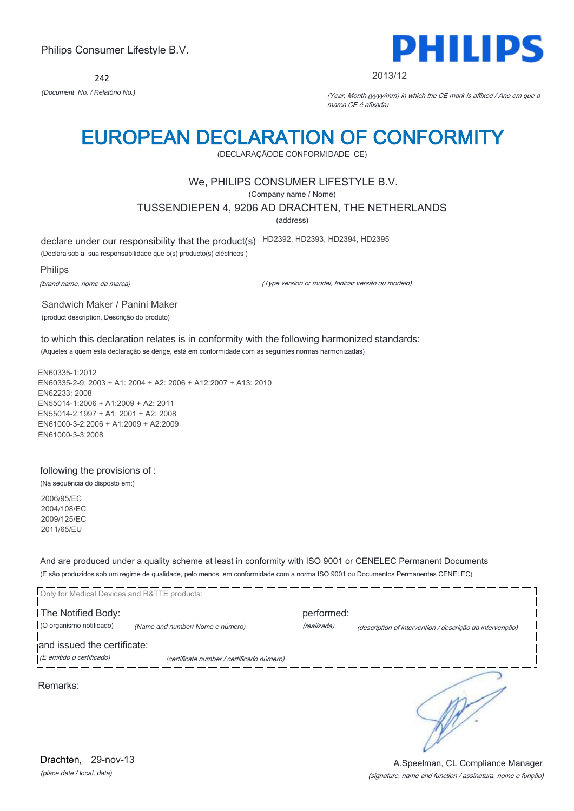242



#### 2013/12

*(Document No. / Relatório No.)* (Year, Month (yyyy/mm) in which the CE mark is affixed / Ano em que a marca CE é afixada)

## EUROPEAN DECLARATION OF CONFORMITY

(DECLARAÇÃODE CONFORMIDADE CE)

### We, PHILIPS CONSUMER LIFESTYLE B.V.

(Company name / Nome)

TUSSENDIEPEN 4, 9206 AD DRACHTEN, THE NETHERLANDS

(address)

declare under our responsibility that the product(s) HD2392, HD2393, HD2394, HD2395

(Declara sob a sua responsabilidade que o(s) producto(s) eléctricos )

Philips

(brand name, nome da marca)

(Type version or model, Indicar versão ou modelo)

Sandwich Maker / Panini Maker (product description, Descrição do produto)

to which this declaration relates is in conformity with the following harmonized standards: (Aqueles a quem esta declaração se derige, está em conformidade com as seguintes normas harmonizadas)

EN60335-1:2012 EN60335-2-9: 2003 + A1: 2004 + A2: 2006 + A12:2007 + A13: 2010 EN62233: 2008 EN55014-1:2006 + A1:2009 + A2: 2011 EN55014-2:1997 + A1: 2001 + A2: 2008 EN61000-3-2:2006 + A1:2009 + A2:2009 EN61000-3-3:2008

### following the provisions of :

(Na sequência do disposto em:)

2006/95/EC 2004/108/EC 2009/125/EC 2011/65/EU

And are produced under a quality scheme at least in conformity with ISO 9001 or CENELEC Permanent Documents (E são produzidos sob um regime de qualidade, pelo menos, em conformidade com a norma ISO 9001 ou Documentos Permanentes CENELEC)

| Only for Medical Devices and R&TTE products: |                                           |             |                                                          |
|----------------------------------------------|-------------------------------------------|-------------|----------------------------------------------------------|
| The Notified Body:                           |                                           | performed:  |                                                          |
| (O organismo notificado)                     | (Name and number/Nome e número)           | (realizada) | (description of intervention / descrição da intervenção) |
| and issued the certificate:                  |                                           |             |                                                          |
| (E emitido o certificado)                    | (certificate number / certificado número) |             |                                                          |
| Remarks:                                     |                                           |             |                                                          |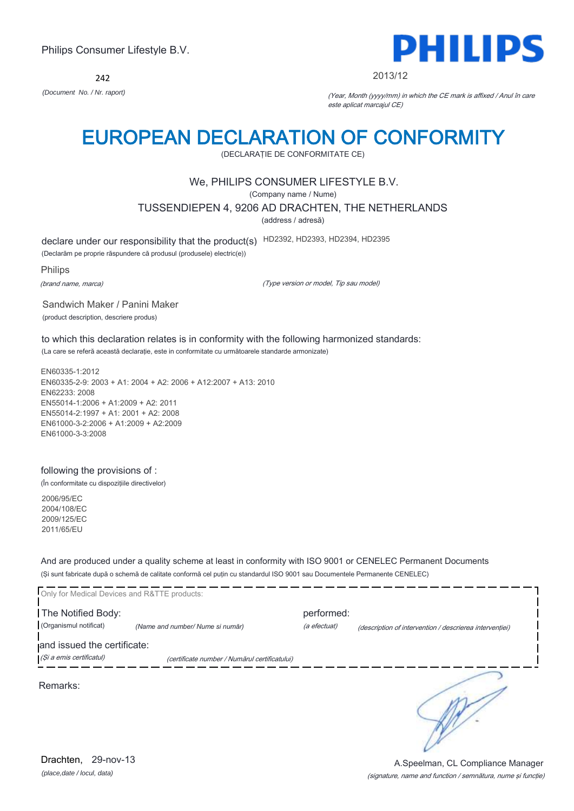242



A.Speelman, CL Compliance Manager

#### 2013/12

*(Document No. / Nr. raport)* (Year, Month (yyyy/mm) in which the CE mark is affixed / Anul în care este aplicat marcajul CE)

## EUROPEAN DECLARATION OF CONFORMITY

(DECLARAŢIE DE CONFORMITATE CE)

### We, PHILIPS CONSUMER LIFESTYLE B.V.

(Company name / Nume)

TUSSENDIEPEN 4, 9206 AD DRACHTEN, THE NETHERLANDS

(address / adresă)

declare under our responsibility that the product(s) HD2392, HD2393, HD2394, HD2395

(Declarăm pe proprie răspundere că produsul (produsele) electric(e))

Philips

(brand name, marca)

(Type version or model, Tip sau model)

Sandwich Maker / Panini Maker (product description, descriere produs)

to which this declaration relates is in conformity with the following harmonized standards: (La care se referă această declaraţie, este in conformitate cu următoarele standarde armonizate)

EN60335-1:2012 EN60335-2-9: 2003 + A1: 2004 + A2: 2006 + A12:2007 + A13: 2010 EN62233: 2008 EN55014-1:2006 + A1:2009 + A2: 2011 EN55014-2:1997 + A1: 2001 + A2: 2008 EN61000-3-2:2006 + A1:2009 + A2:2009 EN61000-3-3:2008

### following the provisions of :

(În conformitate cu dispoziţiile directivelor)

2006/95/EC 2004/108/EC 2009/125/EC 2011/65/EU

And are produced under a quality scheme at least in conformity with ISO 9001 or CENELEC Permanent Documents (Şi sunt fabricate după o schemă de calitate conformă cel puţin cu standardul ISO 9001 sau Documentele Permanente CENELEC)

| Only for Medical Devices and R&TTE products: |                                               |              |                                                         |
|----------------------------------------------|-----------------------------------------------|--------------|---------------------------------------------------------|
| The Notified Body:                           |                                               | performed:   |                                                         |
| (Organismul notificat)                       | (Name and number/ Nume si număr)              | (a efectuat) | (description of intervention / descrierea interventiei) |
| and issued the certificate:                  |                                               |              |                                                         |
| (Și a emis certificatul)                     | (certificate number / Numărul certificatului) |              |                                                         |
| Remarks:                                     |                                               |              |                                                         |

(signature, name and function / semnătura, nume şi funcţie)

*(place,date / locul, data)* Drachten, 29-nov-13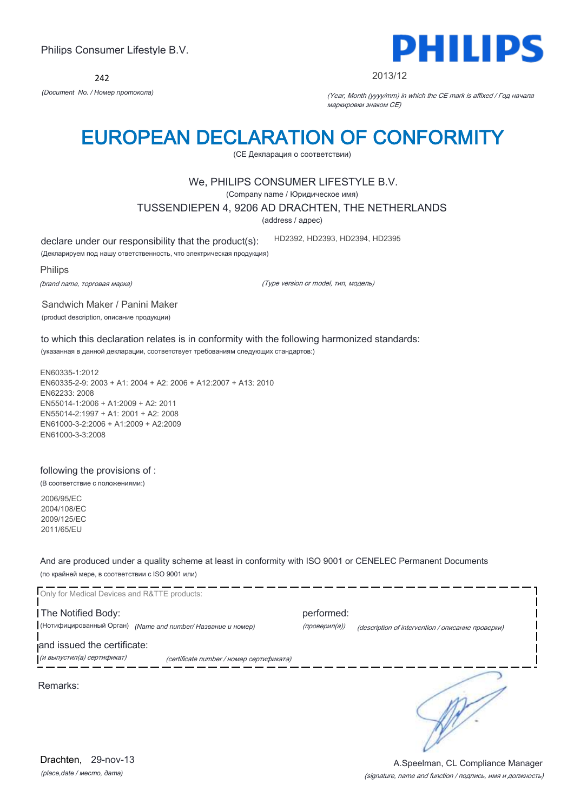242



#### 2013/12

*(Document No. / Номер протокола)* (Year, Month (yyyy/mm) in which the CE mark is affixed / Год начала маркировки знаком CE)

## EUROPEAN DECLARATION OF CONFORMITY

(CE Декларация о соответствии)

### We, PHILIPS CONSUMER LIFESTYLE B.V.

(Company name / Юридическое имя)

TUSSENDIEPEN 4, 9206 AD DRACHTEN, THE NETHERLANDS

(address / адрес)

declare under our responsibility that the product(s):

(Декларируем под нашу ответственность, что электрическая продукция)

Philips

(brand name, торговая марка)

(Type version or model, тип, модель)

HD2392, HD2393, HD2394, HD2395

Sandwich Maker / Panini Maker (product description, описание продукции)

to which this declaration relates is in conformity with the following harmonized standards: (указанная в данной декларации, соответствует требованиям следующих стандартов:)

EN60335-1:2012 EN60335-2-9: 2003 + A1: 2004 + A2: 2006 + A12:2007 + A13: 2010 EN62233: 2008 EN55014-1:2006 + A1:2009 + A2: 2011 EN55014-2:1997 + A1: 2001 + A2: 2008 EN61000-3-2:2006 + A1:2009 + A2:2009 EN61000-3-3:2008

#### following the provisions of :

(В соответствие с положениями:)

2006/95/EC 2004/108/EC 2009/125/EC 2011/65/EU

And are produced under a quality scheme at least in conformity with ISO 9001 or CENELEC Permanent Documents (по крайней мере, в соответствии с ISO 9001 или)



*(place,date / место, дата)* Drachten, 29-nov-13

#### (signature, name and function / подпись, имя и должность) A.Speelman, CL Compliance Manager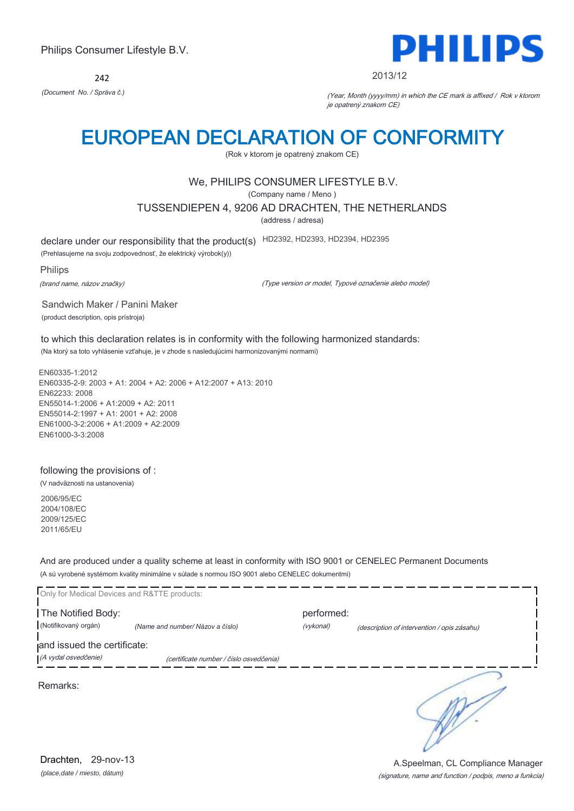242



#### 2013/12

*(Document No. / Správa č.)* (Year, Month (yyyy/mm) in which the CE mark is affixed / Rok v ktorom je opatrený znakom CE)

## EUROPEAN DECLARATION OF CONFORMITY

(Rok v ktorom je opatrený znakom CE)

### We, PHILIPS CONSUMER LIFESTYLE B.V.

(Company name / Meno )

TUSSENDIEPEN 4, 9206 AD DRACHTEN, THE NETHERLANDS

(address / adresa)

declare under our responsibility that the product(s) HD2392, HD2393, HD2394, HD2395

(Prehlasujeme na svoju zodpovednosť, že elektrický výrobok(y))

Philips

(brand name, názov značky)

(Type version or model, Typové označenie alebo model)

Sandwich Maker / Panini Maker (product description, opis prístroja)

to which this declaration relates is in conformity with the following harmonized standards: (Na ktorý sa toto vyhlásenie vzťahuje, je v zhode s nasledujúcimi harmonizovanými normami)

EN60335-1:2012 EN60335-2-9: 2003 + A1: 2004 + A2: 2006 + A12:2007 + A13: 2010 EN62233: 2008 EN55014-1:2006 + A1:2009 + A2: 2011 EN55014-2:1997 + A1: 2001 + A2: 2008 EN61000-3-2:2006 + A1:2009 + A2:2009 EN61000-3-3:2008

#### following the provisions of :

(V nadväznosti na ustanovenia)

2006/95/EC 2004/108/EC 2009/125/EC 2011/65/EU

And are produced under a quality scheme at least in conformity with ISO 9001 or CENELEC Permanent Documents (A sú vyrobené systémom kvality minimálne v súlade s normou ISO 9001 alebo CENELEC dokumentmi)

| Only for Medical Devices and R&TTE products:        |                                         |                         |                                             |
|-----------------------------------------------------|-----------------------------------------|-------------------------|---------------------------------------------|
| The Notified Body:<br>(Notifikovaný orgán)          | (Name and number/ Názov a číslo)        | performed:<br>(vykonal) | (description of intervention / opis zásahu) |
| and issued the certificate:<br>(A vydal osvedčenie) | (certificate number / číslo osvedčenia) |                         |                                             |
| Remarks:                                            |                                         |                         |                                             |
|                                                     |                                         |                         |                                             |
|                                                     |                                         |                         |                                             |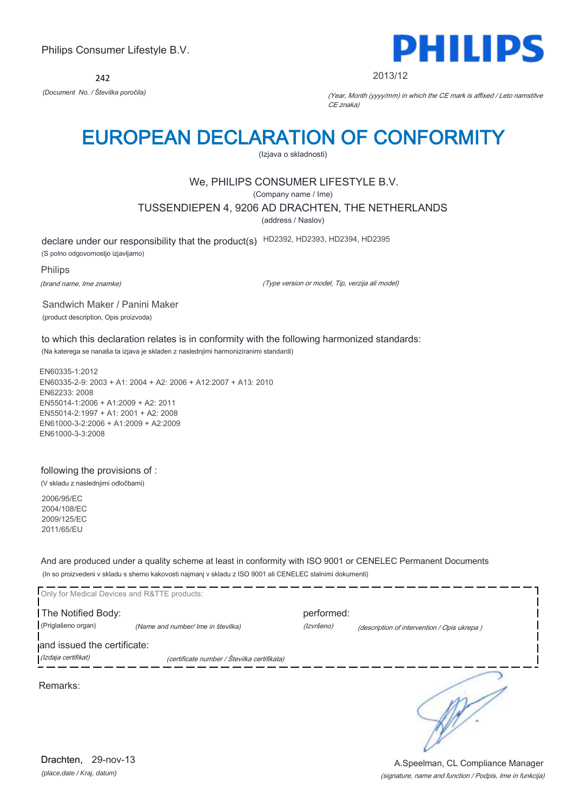242



2013/12

*(Document No. / Številka poročila)* (Year, Month (yyyy/mm) in which the CE mark is affixed / Leto namstitve CE znaka)

## EUROPEAN DECLARATION OF CONFORMITY

(Izjava o skladnosti)

## We, PHILIPS CONSUMER LIFESTYLE B.V.

(Company name / Ime)

TUSSENDIEPEN 4, 9206 AD DRACHTEN, THE NETHERLANDS

(address / Naslov)

declare under our responsibility that the product(s) HD2392, HD2393, HD2394, HD2395

(S polno odgovornostjo izjavljamo)

Philips

(brand name, Ime znamke)

(Type version or model, Tip, verzija ali model)

Sandwich Maker / Panini Maker (product description, Opis proizvoda)

to which this declaration relates is in conformity with the following harmonized standards: (Na katerega se nanaša ta izjava je skladen z naslednjimi harmoniziranimi standardi)

EN60335-1:2012 EN60335-2-9: 2003 + A1: 2004 + A2: 2006 + A12:2007 + A13: 2010 EN62233: 2008 EN55014-1:2006 + A1:2009 + A2: 2011 EN55014-2:1997 + A1: 2001 + A2: 2008 EN61000-3-2:2006 + A1:2009 + A2:2009 EN61000-3-3:2008

following the provisions of :

(V skladu z naslednjimi odločbami)

2006/95/EC 2004/108/EC 2009/125/EC 2011/65/EU

And are produced under a quality scheme at least in conformity with ISO 9001 or CENELEC Permanent Documents (In so proizvedeni v skladu s shemo kakovosti najmanj v skladu z ISO 9001 ali CENELEC stalnimi dokumenti)

|                                          | Only for Medical Devices and R&TTE products: |                          |                                             |
|------------------------------------------|----------------------------------------------|--------------------------|---------------------------------------------|
| The Notified Body:<br>(Priglašeno organ) | (Name and number/ Ime in številka)           | performed:<br>(Izvršeno) | (description of intervention / Opis ukrepa) |
| and issued the certificate:              |                                              |                          |                                             |
| (Izdaja certifikat)                      | (certificate number / Številka certifikata)  |                          |                                             |
| Remarks:                                 |                                              |                          |                                             |

(signature, name and function / Podpis, Ime in funkcija) A.Speelman, CL Compliance Manager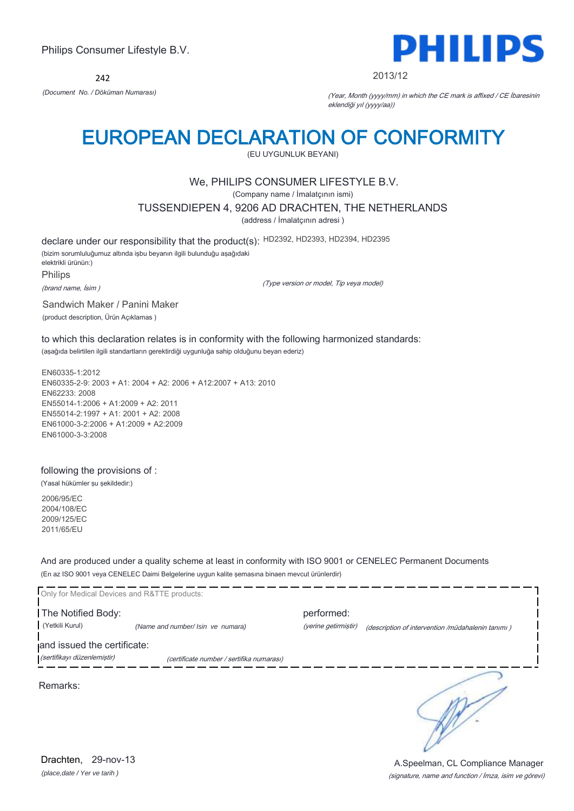242



2013/12

*(Document No. / Döküman Numarası)* (Year, Month (yyyy/mm) in which the CE mark is affixed / CE İbaresinin eklendiği yıl (yyyy/aa))

## EUROPEAN DECLARATION OF CONFORMITY

(EU UYGUNLUK BEYANI)

## We, PHILIPS CONSUMER LIFESTYLE B.V.

(Company name / İmalatçının ismi)

TUSSENDIEPEN 4, 9206 AD DRACHTEN, THE NETHERLANDS

(address / İmalatçının adresi )

declare under our responsibility that the product(s): HD2392, HD2393, HD2394, HD2395

(bizim sorumluluğumuz altında işbu beyanın ilgili bulunduğu aşağıdaki elektrikli ürünün:) Philips

(brand name, İsim )

(Type version or model, Tip veya model)

Sandwich Maker / Panini Maker

(product description, Ürün Açıklamas )

to which this declaration relates is in conformity with the following harmonized standards: (aşağıda belirtilen ilgili standartların gerektirdiği uygunluğa sahip olduğunu beyan ederiz)

EN60335-1:2012 EN60335-2-9: 2003 + A1: 2004 + A2: 2006 + A12:2007 + A13: 2010 EN62233: 2008 EN55014-1:2006 + A1:2009 + A2: 2011 EN55014-2:1997 + A1: 2001 + A2: 2008 EN61000-3-2:2006 + A1:2009 + A2:2009 EN61000-3-3:2008

following the provisions of :

(Yasal hükümler şu şekildedir:)

2006/95/EC 2004/108/EC 2009/125/EC 2011/65/EU

And are produced under a quality scheme at least in conformity with ISO 9001 or CENELEC Permanent Documents (En az ISO 9001 veya CENELEC Daimi Belgelerine uygun kalite şemasına binaen mevcut ürünlerdir)



(signature, name and function / İmza, isim ve görevi) A.Speelman, CL Compliance Manager

*(place,date / Yer ve tarih )* Drachten, 29-nov-13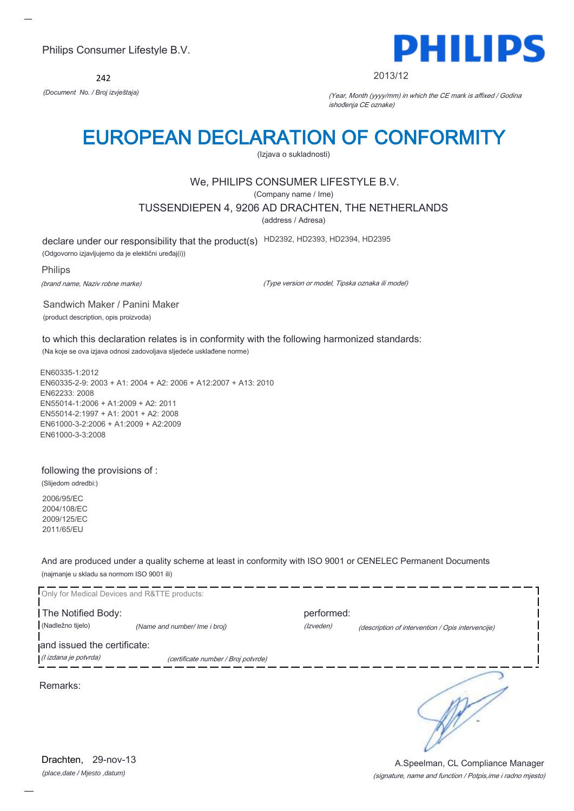242



#### 2013/12

*(Document No. / Broj izvještaja)* (Year, Month (yyyy/mm) in which the CE mark is affixed / Godina ishođenja CE oznake)

## EUROPEAN DECLARATION OF CONFORMITY

(Izjava o sukladnosti)

## We, PHILIPS CONSUMER LIFESTYLE B.V.

(Company name / Ime)

TUSSENDIEPEN 4, 9206 AD DRACHTEN, THE NETHERLANDS

(address / Adresa)

declare under our responsibility that the product(s) HD2392, HD2393, HD2394, HD2395

(Odgovorno izjavljujemo da je elektični uređaj(i))

Philips

(brand name, Naziv robne marke)

(Type version or model, Tipska oznaka ili model)

Sandwich Maker / Panini Maker (product description, opis proizvoda)

to which this declaration relates is in conformity with the following harmonized standards: (Na koje se ova izjava odnosi zadovoljava sljedeće usklađene norme)

EN60335-1:2012 EN60335-2-9: 2003 + A1: 2004 + A2: 2006 + A12:2007 + A13: 2010 EN62233: 2008 EN55014-1:2006 + A1:2009 + A2: 2011 EN55014-2:1997 + A1: 2001 + A2: 2008 EN61000-3-2:2006 + A1:2009 + A2:2009 EN61000-3-3:2008

#### following the provisions of :

(Slijedom odredbi:)

2006/95/EC 2004/108/EC 2009/125/EC 2011/65/EU

And are produced under a quality scheme at least in conformity with ISO 9001 or CENELEC Permanent Documents (najmanje u skladu sa normom ISO 9001 ili)



*(place,date / Mjesto ,datum)* Drachten, 29-nov-13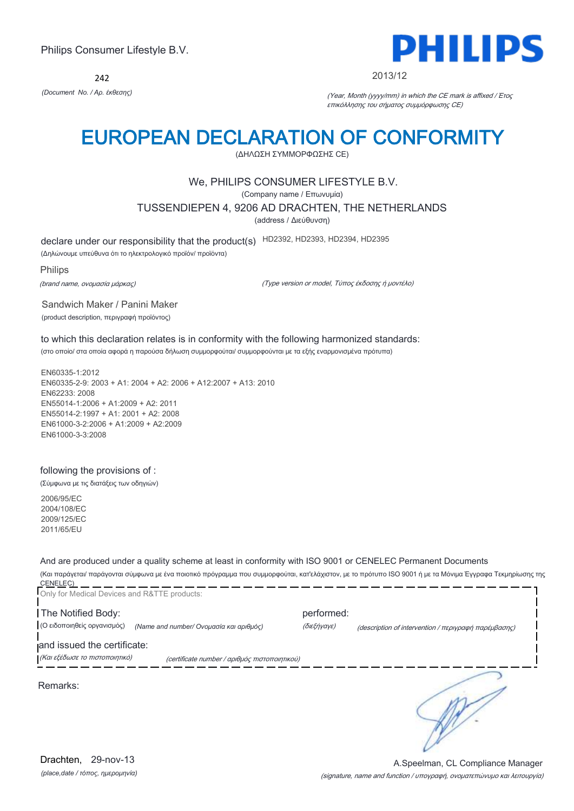242



#### 2013/12

*(Document No. / Αρ. έκθεσης)* (Year, Month (yyyy/mm) in which the CE mark is affixed / Έτος επικόλλησης του σήματος συμμόρφωσης CE)

## EUROPEAN DECLARATION OF CONFORMITY

(ΔΗΛΩΣΗ ΣΥΜΜΟΡΦΩΣΗΣ CE)

### We, PHILIPS CONSUMER LIFESTYLE B.V.

(Company name / Επωνυμία)

TUSSENDIEPEN 4, 9206 AD DRACHTEN, THE NETHERLANDS

(address / Διεύθυνση)

declare under our responsibility that the product(s) HD2392, HD2393, HD2394, HD2395

(Δηλώνουμε υπεύθυνα ότι το ηλεκτρολογικό προϊόν/ προϊόντα)

Philips

(brand name, ονομασία μάρκας)

(Type version or model, Τύπος έκδοσης ή μοντέλο)

Sandwich Maker / Panini Maker (product description, περιγραφή προϊόντος)

to which this declaration relates is in conformity with the following harmonized standards: (στο οποίο/ στα οποία αφορά η παρούσα δήλωση συμμορφούται/ συμμορφούνται με τα εξής εναρμονισμένα πρότυπα)

EN60335-1:2012 EN60335-2-9: 2003 + A1: 2004 + A2: 2006 + A12:2007 + A13: 2010 EN62233: 2008 EN55014-1:2006 + A1:2009 + A2: 2011 EN55014-2:1997 + A1: 2001 + A2: 2008 EN61000-3-2:2006 + A1:2009 + A2:2009 EN61000-3-3:2008

#### following the provisions of :

(Σύμφωνα με τις διατάξεις των οδηγιών)

2006/95/EC 2004/108/EC 2009/125/EC 2011/65/EU

And are produced under a quality scheme at least in conformity with ISO 9001 or CENELEC Permanent Documents

(Και παράγεται/ παράγονται σύμφωνα με ένα ποιοτικό πρόγραμμα που συμμορφούται, κατ'ελάχιστον, με το πρότυπο ISO 9001 ή με τα Μόνιμα Έγγραφα Τεκμηρίωσης της CENELEC)

| performed:                                    |                                                      |
|-----------------------------------------------|------------------------------------------------------|
| (διεξήγαγε)                                   | (description of intervention / περιγραφή παρέμβασης) |
| (certificate number / αριθμός πιστοποιητικού) |                                                      |
|                                               |                                                      |
|                                               |                                                      |